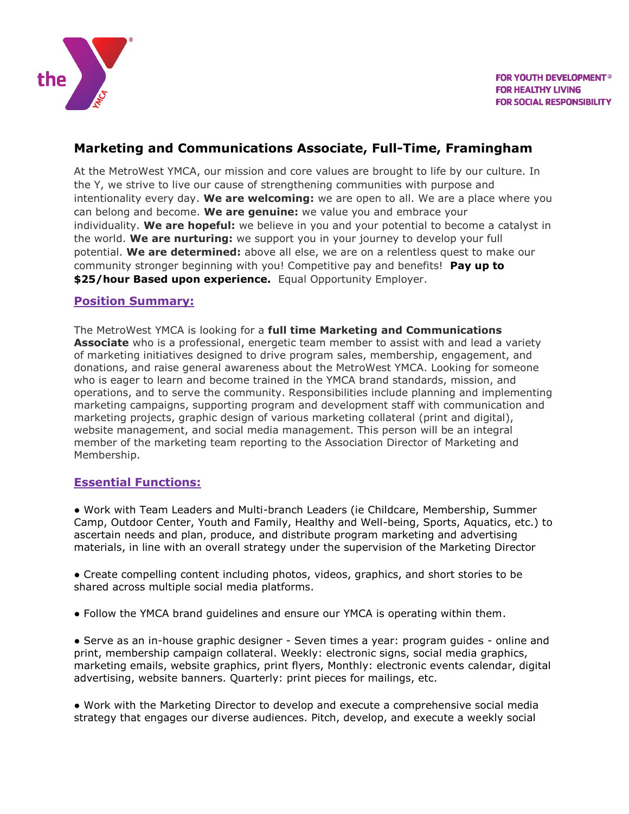

## **Marketing and Communications Associate, Full-Time, Framingham**

At the MetroWest YMCA, our mission and core values are brought to life by our culture. In the Y, we strive to live our cause of strengthening communities with purpose and intentionality every day. **We are welcoming:** we are open to all. We are a place where you can belong and become. **We are genuine:** we value you and embrace your individuality. **We are hopeful:** we believe in you and your potential to become a catalyst in the world. **We are nurturing:** we support you in your journey to develop your full potential. **We are determined:** above all else, we are on a relentless quest to make our community stronger beginning with you! Competitive pay and benefits! **Pay up to \$25/hour Based upon experience.** Equal Opportunity Employer.

#### **Position Summary:**

The MetroWest YMCA is looking for a **full time Marketing and Communications Associate** who is a professional, energetic team member to assist with and lead a variety of marketing initiatives designed to drive program sales, membership, engagement, and donations, and raise general awareness about the MetroWest YMCA. Looking for someone who is eager to learn and become trained in the YMCA brand standards, mission, and operations, and to serve the community. Responsibilities include planning and implementing marketing campaigns, supporting program and development staff with communication and marketing projects, graphic design of various marketing collateral (print and digital), website management, and social media management. This person will be an integral member of the marketing team reporting to the Association Director of Marketing and Membership.

### **Essential Functions:**

● Work with Team Leaders and Multi-branch Leaders (ie Childcare, Membership, Summer Camp, Outdoor Center, Youth and Family, Healthy and Well-being, Sports, Aquatics, etc.) to ascertain needs and plan, produce, and distribute program marketing and advertising materials, in line with an overall strategy under the supervision of the Marketing Director

● Create compelling content including photos, videos, graphics, and short stories to be shared across multiple social media platforms.

● Follow the YMCA brand guidelines and ensure our YMCA is operating within them.

● Serve as an in-house graphic designer - Seven times a year: program guides - online and print, membership campaign collateral. Weekly: electronic signs, social media graphics, marketing emails, website graphics, print flyers, Monthly: electronic events calendar, digital advertising, website banners. Quarterly: print pieces for mailings, etc.

● Work with the Marketing Director to develop and execute a comprehensive social media strategy that engages our diverse audiences. Pitch, develop, and execute a weekly social